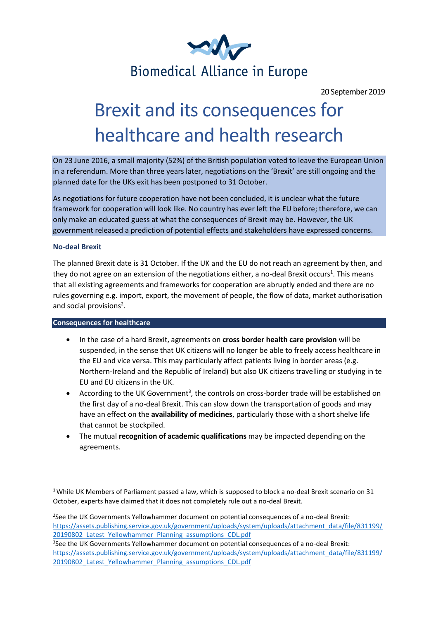

20 September 2019

## Brexit and its consequences for healthcare and health research

On 23 June 2016, a small majority (52%) of the British population voted to leave the European Union in a referendum. More than three years later, negotiations on the 'Brexit' are still ongoing and the planned date for the UKs exit has been postponed to 31 October.

As negotiations for future cooperation have not been concluded, it is unclear what the future framework for cooperation will look like. No country has ever left the EU before; therefore, we can only make an educated guess at what the consequences of Brexit may be. However, the UK government released a prediction of potential effects and stakeholders have expressed concerns.

#### **No-deal Brexit**

The planned Brexit date is 31 October. If the UK and the EU do not reach an agreement by then, and they do not agree on an extension of the negotiations either, a no-deal Brexit occurs<sup>1</sup>. This means that all existing agreements and frameworks for cooperation are abruptly ended and there are no rules governing e.g. import, export, the movement of people, the flow of data, market authorisation and social provisions<sup>2</sup>.

#### **Consequences for healthcare**

- In the case of a hard Brexit, agreements on **cross border health care provision** will be suspended, in the sense that UK citizens will no longer be able to freely access healthcare in the EU and vice versa. This may particularly affect patients living in border areas (e.g. Northern-Ireland and the Republic of Ireland) but also UK citizens travelling or studying in te EU and EU citizens in the UK.
- According to the UK Government<sup>3</sup>, the controls on cross-border trade will be established on the first day of a no-deal Brexit. This can slow down the transportation of goods and may have an effect on the **availability of medicines**, particularly those with a short shelve life that cannot be stockpiled.
- The mutual **recognition of academic qualifications** may be impacted depending on the agreements.

<sup>&</sup>lt;sup>1</sup> While UK Members of Parliament passed a law, which is supposed to block a no-deal Brexit scenario on 31 October, experts have claimed that it does not completely rule out a no-deal Brexit.

<sup>&</sup>lt;sup>2</sup>See the UK Governments Yellowhammer document on potential consequences of a no-deal Brexit: [https://assets.publishing.service.gov.uk/government/uploads/system/uploads/attachment\\_data/file/831199/](https://assets.publishing.service.gov.uk/government/uploads/system/uploads/attachment_data/file/831199/20190802_Latest_Yellowhammer_Planning_assumptions_CDL.pdf) 20190802 Latest Yellowhammer Planning assumptions CDL.pdf

<sup>3</sup> See the UK Governments Yellowhammer document on potential consequences of a no-deal Brexit: [https://assets.publishing.service.gov.uk/government/uploads/system/uploads/attachment\\_data/file/831199/](https://assets.publishing.service.gov.uk/government/uploads/system/uploads/attachment_data/file/831199/20190802_Latest_Yellowhammer_Planning_assumptions_CDL.pdf) 20190802 Latest Yellowhammer Planning assumptions CDL.pdf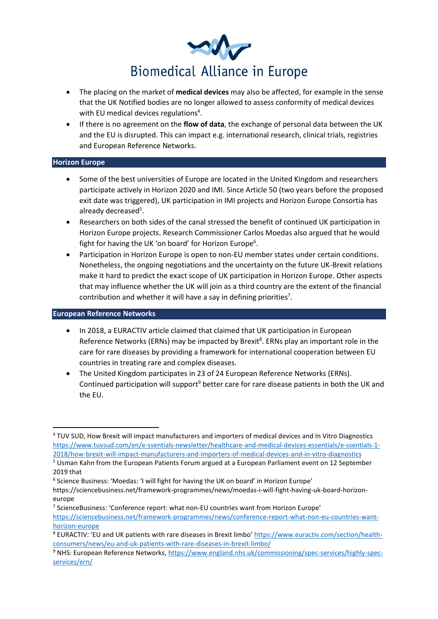

- The placing on the market of **medical devices** may also be affected, for example in the sense that the UK Notified bodies are no longer allowed to assess conformity of medical devices with EU medical devices regulations<sup>4</sup>.
- If there is no agreement on the **flow of data**, the exchange of personal data between the UK and the EU is disrupted. This can impact e.g. international research, clinical trials, registries and European Reference Networks.

### **Horizon Europe**

- Some of the best universities of Europe are located in the United Kingdom and researchers participate actively in Horizon 2020 and IMI. Since Article 50 (two years before the proposed exit date was triggered), UK participation in IMI projects and Horizon Europe Consortia has already decreased<sup>5</sup>.
- Researchers on both sides of the canal stressed the benefit of continued UK participation in Horizon Europe projects. Research Commissioner Carlos Moedas also argued that he would fight for having the UK 'on board' for Horizon Europe<sup>6</sup>.
- Participation in Horizon Europe is open to non-EU member states under certain conditions. Nonetheless, the ongoing negotiations and the uncertainty on the future UK-Brexit relations make it hard to predict the exact scope of UK participation in Horizon Europe. Other aspects that may influence whether the UK will join as a third country are the extent of the financial contribution and whether it will have a say in defining priorities<sup>7</sup>.

#### **European Reference Networks**

- In 2018, a EURACTIV article claimed that claimed that UK participation in European Reference Networks (ERNs) may be impacted by Brexit<sup>8</sup>. ERNs play an important role in the care for rare diseases by providing a framework for international cooperation between EU countries in treating rare and complex diseases.
- The United Kingdom participates in 23 of 24 European Reference Networks (ERNs). Continued participation will support<sup>9</sup> better care for rare disease patients in both the UK and the EU.

<sup>6</sup> Science Business: 'Moedas: 'I will fight for having the UK on board' in Horizon Europe'

<sup>7</sup> ScienceBusiness: 'Conference report: what non-EU countries want from Horizon Europe' [https://sciencebusiness.net/framework-programmes/news/conference-report-what-non-eu-countries-want](https://sciencebusiness.net/framework-programmes/news/conference-report-what-non-eu-countries-want-horizon-europe)[horizon-europe](https://sciencebusiness.net/framework-programmes/news/conference-report-what-non-eu-countries-want-horizon-europe)

<sup>4</sup> TUV SUD, How Brexit will impact manufacturers and importers of medical devices and In Vitro Diagnostics [https://www.tuvsud.com/en/e-ssentials-newsletter/healthcare-and-medical-devices-essentials/e-ssentials-1-](https://www.tuvsud.com/en/e-ssentials-newsletter/healthcare-and-medical-devices-essentials/e-ssentials-1-2018/how-brexit-will-impact-manufacturers-and-importers-of-medical-devices-and-in-vitro-diagnostics) [2018/how-brexit-will-impact-manufacturers-and-importers-of-medical-devices-and-in-vitro-diagnostics](https://www.tuvsud.com/en/e-ssentials-newsletter/healthcare-and-medical-devices-essentials/e-ssentials-1-2018/how-brexit-will-impact-manufacturers-and-importers-of-medical-devices-and-in-vitro-diagnostics)

<sup>5</sup> Usman Kahn from the European Patients Forum argued at a European Parliament event on 12 September 2019 that

https://sciencebusiness.net/framework-programmes/news/moedas-i-will-fight-having-uk-board-horizoneurope

<sup>8</sup> EURACTIV: 'EU and UK patients with rare diseases in Brexit limbo' [https://www.euractiv.com/section/health](https://www.euractiv.com/section/health-consumers/news/eu-and-uk-patients-with-rare-diseases-in-brexit-limbo/)[consumers/news/eu-and-uk-patients-with-rare-diseases-in-brexit-limbo/](https://www.euractiv.com/section/health-consumers/news/eu-and-uk-patients-with-rare-diseases-in-brexit-limbo/)

<sup>9</sup> NHS: European Reference Networks, [https://www.england.nhs.uk/commissioning/spec-services/highly-spec](https://www.england.nhs.uk/commissioning/spec-services/highly-spec-services/ern/)[services/ern/](https://www.england.nhs.uk/commissioning/spec-services/highly-spec-services/ern/)